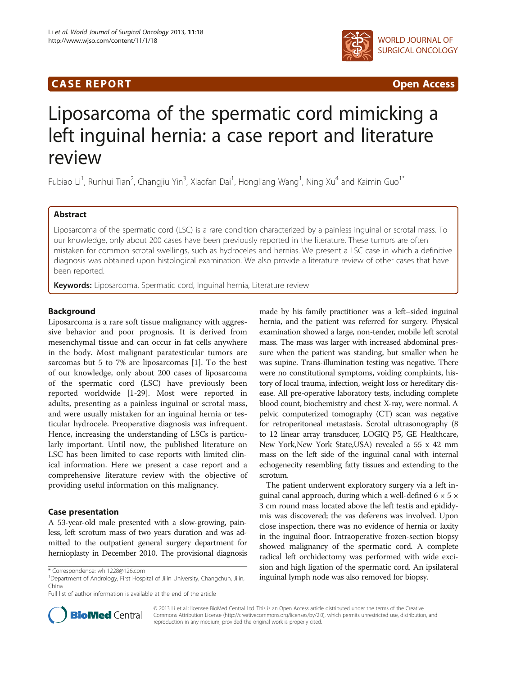## **CASE REPORT CASE REPORT CASE REPORT**



# Liposarcoma of the spermatic cord mimicking a left inguinal hernia: a case report and literature review

Fubiao Li<sup>1</sup>, Runhui Tian<sup>2</sup>, Changjiu Yin<sup>3</sup>, Xiaofan Dai<sup>1</sup>, Hongliang Wang<sup>1</sup>, Ning Xu<sup>4</sup> and Kaimin Guo<sup>1\*</sup>

## Abstract

Liposarcoma of the spermatic cord (LSC) is a rare condition characterized by a painless inguinal or scrotal mass. To our knowledge, only about 200 cases have been previously reported in the literature. These tumors are often mistaken for common scrotal swellings, such as hydroceles and hernias. We present a LSC case in which a definitive diagnosis was obtained upon histological examination. We also provide a literature review of other cases that have been reported.

Keywords: Liposarcoma, Spermatic cord, Inguinal hernia, Literature review

## Background

Liposarcoma is a rare soft tissue malignancy with aggressive behavior and poor prognosis. It is derived from mesenchymal tissue and can occur in fat cells anywhere in the body. Most malignant paratesticular tumors are sarcomas but 5 to 7% are liposarcomas [\[1](#page-4-0)]. To the best of our knowledge, only about 200 cases of liposarcoma of the spermatic cord (LSC) have previously been reported worldwide [[1-29\]](#page-4-0). Most were reported in adults, presenting as a painless inguinal or scrotal mass, and were usually mistaken for an inguinal hernia or testicular hydrocele. Preoperative diagnosis was infrequent. Hence, increasing the understanding of LSCs is particularly important. Until now, the published literature on LSC has been limited to case reports with limited clinical information. Here we present a case report and a comprehensive literature review with the objective of providing useful information on this malignancy.

## Case presentation

A 53-year-old male presented with a slow-growing, painless, left scrotum mass of two years duration and was admitted to the outpatient general surgery department for hernioplasty in December 2010. The provisional diagnosis

Full list of author information is available at the end of the article



The patient underwent exploratory surgery via a left inguinal canal approach, during which a well-defined  $6 \times 5 \times$ 3 cm round mass located above the left testis and epididymis was discovered; the vas deferens was involved. Upon close inspection, there was no evidence of hernia or laxity in the inguinal floor. Intraoperative frozen-section biopsy showed malignancy of the spermatic cord. A complete radical left orchidectomy was performed with wide excision and high ligation of the spermatic cord. An ipsilateral \* Correspondence: [whl1228@126.com](mailto:whl1228@126.com)<br><sup>1</sup>Department of Andrology, First Hospital of Jilin University, Changchun, Jilin, **inguinal lymph node was also removed for biopsy.** 



© 2013 Li et al.; licensee BioMed Central Ltd. This is an Open Access article distributed under the terms of the Creative Commons Attribution License [\(http://creativecommons.org/licenses/by/2.0\)](http://creativecommons.org/licenses/by/2.0), which permits unrestricted use, distribution, and reproduction in any medium, provided the original work is properly cited.

China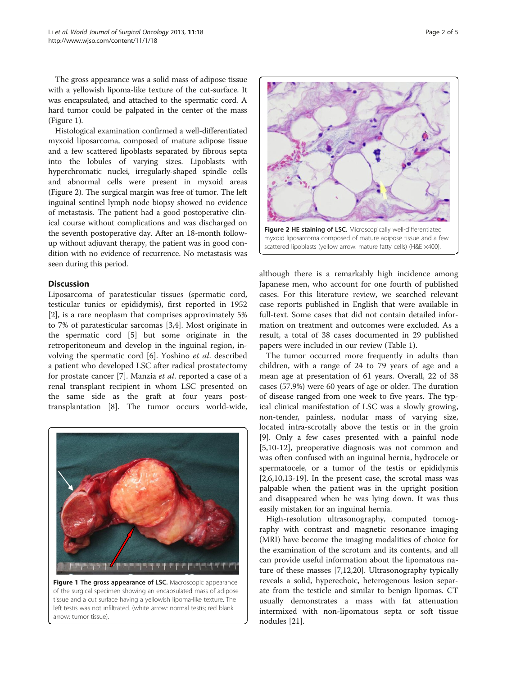The gross appearance was a solid mass of adipose tissue with a yellowish lipoma-like texture of the cut-surface. It was encapsulated, and attached to the spermatic cord. A hard tumor could be palpated in the center of the mass (Figure 1).

Histological examination confirmed a well-differentiated myxoid liposarcoma, composed of mature adipose tissue and a few scattered lipoblasts separated by fibrous septa into the lobules of varying sizes. Lipoblasts with hyperchromatic nuclei, irregularly-shaped spindle cells and abnormal cells were present in myxoid areas (Figure 2). The surgical margin was free of tumor. The left inguinal sentinel lymph node biopsy showed no evidence of metastasis. The patient had a good postoperative clinical course without complications and was discharged on the seventh postoperative day. After an 18-month followup without adjuvant therapy, the patient was in good condition with no evidence of recurrence. No metastasis was seen during this period.

## **Discussion**

Liposarcoma of paratesticular tissues (spermatic cord, testicular tunics or epididymis), first reported in 1952 [[2\]](#page-4-0), is a rare neoplasm that comprises approximately 5% to 7% of paratesticular sarcomas [[3,4\]](#page-4-0). Most originate in the spermatic cord [\[5](#page-4-0)] but some originate in the retroperitoneum and develop in the inguinal region, involving the spermatic cord [\[6](#page-4-0)]. Yoshino et al. described a patient who developed LSC after radical prostatectomy for prostate cancer [\[7](#page-4-0)]. Manzia et al. reported a case of a renal transplant recipient in whom LSC presented on the same side as the graft at four years posttransplantation [\[8](#page-4-0)]. The tumor occurs world-wide,



Figure 1 The gross appearance of LSC. Macroscopic appearance of the surgical specimen showing an encapsulated mass of adipose tissue and a cut surface having a yellowish lipoma-like texture. The left testis was not infiltrated. (white arrow: normal testis; red blank arrow: tumor tissue).



although there is a remarkably high incidence among Japanese men, who account for one fourth of published cases. For this literature review, we searched relevant case reports published in English that were available in full-text. Some cases that did not contain detailed information on treatment and outcomes were excluded. As a result, a total of 38 cases documented in 29 published papers were included in our review (Table [1](#page-2-0)).

The tumor occurred more frequently in adults than children, with a range of 24 to 79 years of age and a mean age at presentation of 61 years. Overall, 22 of 38 cases (57.9%) were 60 years of age or older. The duration of disease ranged from one week to five years. The typical clinical manifestation of LSC was a slowly growing, non-tender, painless, nodular mass of varying size, located intra-scrotally above the testis or in the groin [[9\]](#page-4-0). Only a few cases presented with a painful node [[5,10-12](#page-4-0)], preoperative diagnosis was not common and was often confused with an inguinal hernia, hydrocele or spermatocele, or a tumor of the testis or epididymis [[2,6,10,13-19](#page-4-0)]. In the present case, the scrotal mass was palpable when the patient was in the upright position and disappeared when he was lying down. It was thus easily mistaken for an inguinal hernia.

High-resolution ultrasonography, computed tomography with contrast and magnetic resonance imaging (MRI) have become the imaging modalities of choice for the examination of the scrotum and its contents, and all can provide useful information about the lipomatous nature of these masses [[7,12,20\]](#page-4-0). Ultrasonography typically reveals a solid, hyperechoic, heterogenous lesion separate from the testicle and similar to benign lipomas. CT usually demonstrates a mass with fat attenuation intermixed with non-lipomatous septa or soft tissue nodules [[21](#page-4-0)].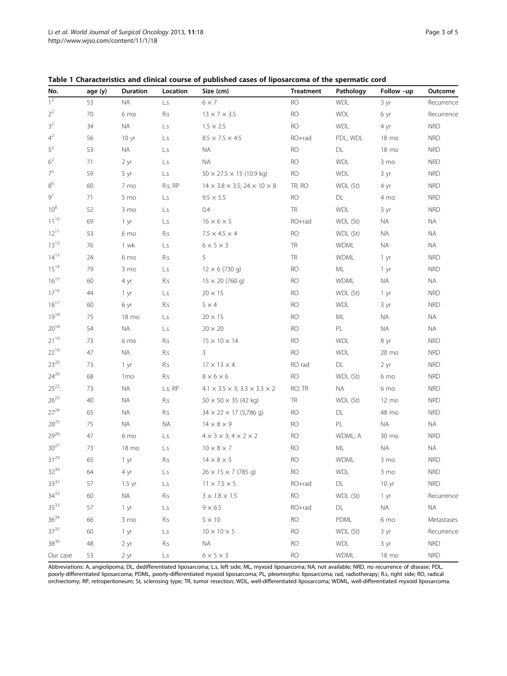| No.              | age (y) | <b>Duration</b> | Location                | Size (cm)                                              | <b>Treatment</b> | Pathology     | Follow -up      | Outcome    |
|------------------|---------|-----------------|-------------------------|--------------------------------------------------------|------------------|---------------|-----------------|------------|
| $\overline{1^2}$ | 53      | NA.             | L.S                     | $6 \times 7$                                           | <b>RO</b>        | <b>WDL</b>    | 3 yr            | Recurrence |
| $2^2$            | 70      | 6 mo            | R.s                     | $13 \times 7 \times 3.5$                               | RO               | <b>WDL</b>    | 6 yr            | Recurrence |
| 3 <sup>2</sup>   | 34      | <b>NA</b>       | L.S                     | $1.5 \times 2.5$                                       | <b>RO</b>        | <b>WDL</b>    | 4 yr            | <b>NRD</b> |
| $4^2$            | 56      | 10 yr           | L.S                     | $8.5 \times 7.5 \times 4.5$                            | RO+rad           | PDL, WDL      | 18 mo           | <b>NRD</b> |
| $5^2$            | 53      | <b>NA</b>       | L.s                     | <b>NA</b>                                              | <b>RO</b>        | DL            | 18 mo           | <b>NRD</b> |
| 6 <sup>2</sup>   | 71      | 2 yr            | L.s                     | <b>NA</b>                                              | <b>RO</b>        | <b>WDL</b>    | 3 mo            | <b>NRD</b> |
| $7^5$            | 59      | 5 yr            | L.S                     | $50 \times 27.5 \times 15$ (10.9 kg)                   | <b>RO</b>        | <b>WDL</b>    | 3 yr            | <b>NRD</b> |
| $8^6$            | 60      | 7 mo            | R.s; RP                 | $14 \times 3.8 \times 3.5$ ; 24 $\times$ 10 $\times$ 8 | TR; RO           | WDL (St)      | 4 yr            | <b>NRD</b> |
| $9^7$            | 71      | 5 mo            | L.s                     | $9.5 \times 5.5$                                       | <b>RO</b>        | DL            | 4 mo            | <b>NRD</b> |
| $10^8$           | 52      | 3 mo            | L.S                     | 0.4                                                    | TR               | <b>WDL</b>    | 3 yr            | <b>NRD</b> |
| $11^{10}$        | 69      | 1 yr            | L.s                     | $16 \times 6 \times 5$                                 | RO+rad           | WDL (St)      | <b>NA</b>       | <b>NA</b>  |
| $12^{11}$        | 53      | 6 mo            | R.s                     | $7.5 \times 4.5 \times 4$                              | <b>RO</b>        | WDL (St)      | NA.             | <b>NA</b>  |
| $13^{12}$        | 76      | 1 wk            | L.S                     | $6 \times 5 \times 3$                                  | TR               | <b>WDML</b>   | <b>NA</b>       | <b>NA</b>  |
| $14^{13}$        | 24      | 6 mo            | R.s                     | 5                                                      | TR               | <b>WDML</b>   | 1 yr            | <b>NRD</b> |
| $15^{14}$        | 79      | 3 mo            | L.S                     | $12 \times 6 (730 q)$                                  | <b>RO</b>        | ML            | 1 yr            | <b>NRD</b> |
| $16^{15}$        | 60      | 4 yr            | R.s                     | $15 \times 20$ (760 g)                                 | <b>RO</b>        | <b>WDML</b>   | <b>NA</b>       | <b>NA</b>  |
| $17^{16}$        | 44      | 1 yr            | L.s                     | $20 \times 15$                                         | <b>RO</b>        | WDL (St)      | 1 yr            | <b>NRD</b> |
| $18^{17}$        | 60      | 6 yr            | R.s                     | $5 \times 4$                                           | <b>RO</b>        | <b>WDL</b>    | 3 yr            | <b>NRD</b> |
| $19^{18}$        | 75      | 18 mo           | L.S                     | $20 \times 15$                                         | <b>RO</b>        | ML            | <b>NA</b>       | <b>NA</b>  |
| $20^{18}$        | 54      | <b>NA</b>       | L.s                     | $20 \times 20$                                         | <b>RO</b>        | PL            | <b>NA</b>       | <b>NA</b>  |
| $21^{19}$        | 73      | 6 mo            | R.s                     | $15 \times 10 \times 14$                               | <b>RO</b>        | <b>WDL</b>    | 8 yr            | <b>NRD</b> |
| $22^{19}$        | 47      | <b>NA</b>       | R.s                     | 3                                                      | <b>RO</b>        | <b>WDL</b>    | 20 mo           | <b>NRD</b> |
| $23^{20}$        | 73      | 1 yr            | R.s                     | $17 \times 13 \times 4$                                | RO rad           | DL            | 2 yr            | <b>NRD</b> |
| $24^{20}$        | 68      | 1 <sub>mo</sub> | R.s                     | $8 \times 6 \times 6$                                  | <b>RO</b>        | WDL (St)      | 6 mo            | <b>NRD</b> |
| $25^{22}$ .      | 73      | <b>NA</b>       | L.s; RP                 | $4.1 \times 3.5 \times 3$ ; $3.3 \times 3.3 \times 2$  | RO; TR           | <b>NA</b>     | 6 mo            | <b>NRD</b> |
| $26^{23}$        | 40      | <b>NA</b>       | R.s                     | $50 \times 50 \times 35$ (42 kg)                       | TR               | WDL (St)      | $12 \text{ mo}$ | <b>NRD</b> |
| $27^{24}$        | 65      | <b>NA</b>       | R.s                     | $34 \times 22 \times 17$ (5,786 g)                     | <b>RO</b>        | DL            | 48 mo           | <b>NRD</b> |
| $28^{25}$        | 75      | <b>NA</b>       | <b>NA</b>               | $14 \times 8 \times 9$                                 | <b>RO</b>        | PL            | <b>NA</b>       | <b>NA</b>  |
| 2926             | 47      | 6 mo            | L.s                     | $4 \times 3 \times 3$ ; $4 \times 2 \times 2$          | <b>RO</b>        | WDML; A       | 30 mo           | <b>NRD</b> |
| $30^{27}$        | 73      | 18 mo           | L.s                     | $10 \times 8 \times 7$                                 | <b>RO</b>        | ML            | <b>NA</b>       | $\sf NA$   |
| $31^{29}$        | 65      | 1 yr            | R.s                     | $14 \times 8 \times 5$                                 | <b>RO</b>        | <b>WDML</b>   | 3 mo            | <b>NRD</b> |
| $32^{30}$        | 64      | 4 yr            | $\mathsf{L}.\mathsf{s}$ | $26 \times 15 \times 7$ (785 g)                        | RO               | WDL           | 3 mo            | <b>NRD</b> |
| $33^{32}$        | 57      | $1.5$ yr        | $\mathsf{L}.\mathsf{s}$ | $11 \times 7.5 \times 5$                               | RO+rad           | $\mathsf{DL}$ | 10 yr           | <b>NRD</b> |
| $34^{32}$        | 60      | <b>NA</b>       | R.s                     | $3\times1.8\times1.5$                                  | <b>RO</b>        | WDL (St)      | 1 yr            | Recurrence |
| $35^{33}$        | 57      | 1 yr            | L.S                     | $9 \times 6.5$                                         | RO+rad           | DL            | <b>NA</b>       | <b>NA</b>  |
| $36^{34}$        | 66      | 3 mo            | R.s                     | $5\times10$                                            | <b>RO</b>        | PDML          | 6 mo            | Metastases |
| $37^{35}$        | 60      | 1 yr            | $\mathsf{L}.\mathsf{s}$ | $10 \times 10 \times 5$                                | RO               | WDL (St)      | 3 yr            | Recurrence |
| $38^{36}$        | 48      | 2 yr            | R.s                     | <b>NA</b>                                              | <b>RO</b>        | WDL           | 3 yr            | <b>NRD</b> |
| Our case         | 53      | 2 yr            | $\mathsf{L}.\mathsf{s}$ | $6 \times 5 \times 3$                                  | <b>RO</b>        | <b>WDML</b>   | 18 mo           | <b>NRD</b> |

<span id="page-2-0"></span>

| Table 1 Characteristics and clinical course of published cases of liposarcoma of the spermatic cord |  |  |  |
|-----------------------------------------------------------------------------------------------------|--|--|--|
|-----------------------------------------------------------------------------------------------------|--|--|--|

Abbreviations: A, angiolipoma; DL, dedifferentiated liposarcoma; L.s, left side; ML, myxoid liposarcoma; NA, not available; NRD, no recurrence of disease; PDL, poorly-differentiated liposarcoma; PDML, poorly-differentiated myxoid liposarcoma; PL, pleomorphic liposarcoma; rad, radiotherapy; R.s, right side; RO, radical orchiectomy; RP, retroperitoneum; St, sclerosing type; TR, tumor resection; WDL, well-differentiated liposarcoma; WDML, well-differentiated myxoid liposarcoma.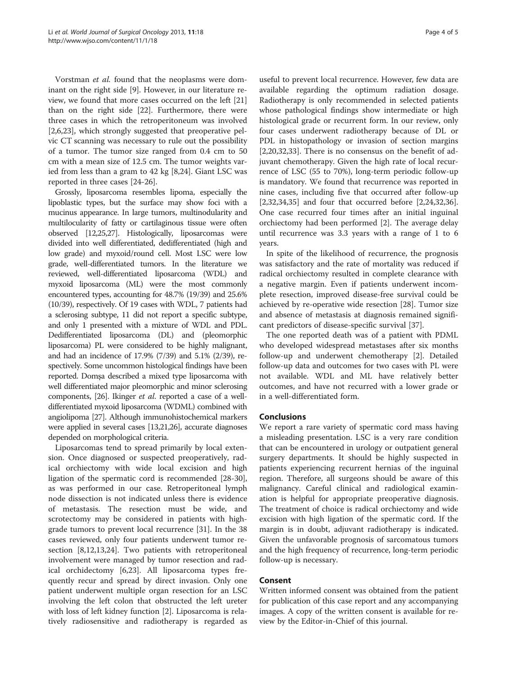Vorstman et al. found that the neoplasms were dominant on the right side [\[9](#page-4-0)]. However, in our literature review, we found that more cases occurred on the left [[21](#page-4-0)] than on the right side [\[22](#page-4-0)]. Furthermore, there were three cases in which the retroperitoneum was involved [[2,6,23\]](#page-4-0), which strongly suggested that preoperative pelvic CT scanning was necessary to rule out the possibility of a tumor. The tumor size ranged from 0.4 cm to 50 cm with a mean size of 12.5 cm. The tumor weights varied from less than a gram to 42 kg [\[8,24](#page-4-0)]. Giant LSC was reported in three cases [\[24](#page-4-0)-[26\]](#page-4-0).

Grossly, liposarcoma resembles lipoma, especially the lipoblastic types, but the surface may show foci with a mucinus appearance. In large tumors, multinodularity and multilocularity of fatty or cartilaginous tissue were often observed [\[12,25,27](#page-4-0)]. Histologically, liposarcomas were divided into well differentiated, dedifferentiated (high and low grade) and myxoid/round cell. Most LSC were low grade, well-differentiated tumors. In the literature we reviewed, well-differentiated liposarcoma (WDL) and myxoid liposarcoma (ML) were the most commonly encountered types, accounting for 48.7% (19/39) and 25.6% (10/39), respectively. Of 19 cases with WDL, 7 patients had a sclerosing subtype, 11 did not report a specific subtype, and only 1 presented with a mixture of WDL and PDL. Dedifferentiated liposarcoma (DL) and (pleomorphic liposarcoma) PL were considered to be highly malignant, and had an incidence of 17.9% (7/39) and 5.1% (2/39), respectively. Some uncommon histological findings have been reported. Domşa described a mixed type liposarcoma with well differentiated major pleomorphic and minor sclerosing components, [\[26](#page-4-0)]. Ikinger et al. reported a case of a welldifferentiated myxoid liposarcoma (WDML) combined with angiolipoma [\[27](#page-4-0)]. Although immunohistochemical markers were applied in several cases [[13,21,26\]](#page-4-0), accurate diagnoses depended on morphological criteria.

Liposarcomas tend to spread primarily by local extension. Once diagnosed or suspected preoperatively, radical orchiectomy with wide local excision and high ligation of the spermatic cord is recommended [\[28-30](#page-4-0)], as was performed in our case. Retroperitoneal lymph node dissection is not indicated unless there is evidence of metastasis. The resection must be wide, and scrotectomy may be considered in patients with highgrade tumors to prevent local recurrence [[31\]](#page-4-0). In the 38 cases reviewed, only four patients underwent tumor resection [[8,12,13,24\]](#page-4-0). Two patients with retroperitoneal involvement were managed by tumor resection and radical orchidectomy [[6,23\]](#page-4-0). All liposarcoma types frequently recur and spread by direct invasion. Only one patient underwent multiple organ resection for an LSC involving the left colon that obstructed the left ureter with loss of left kidney function [[2\]](#page-4-0). Liposarcoma is relatively radiosensitive and radiotherapy is regarded as

useful to prevent local recurrence. However, few data are available regarding the optimum radiation dosage. Radiotherapy is only recommended in selected patients whose pathological findings show intermediate or high histological grade or recurrent form. In our review, only four cases underwent radiotherapy because of DL or PDL in histopathology or invasion of section margins [[2,20,32,33\]](#page-4-0). There is no consensus on the benefit of adjuvant chemotherapy. Given the high rate of local recurrence of LSC (55 to 70%), long-term periodic follow-up is mandatory. We found that recurrence was reported in nine cases, including five that occurred after follow-up [[2,32,34,35\]](#page-4-0) and four that occurred before [\[2](#page-4-0),[24,32,36](#page-4-0)]. One case recurred four times after an initial inguinal orchiectomy had been performed [\[2\]](#page-4-0). The average delay until recurrence was 3.3 years with a range of 1 to 6 years.

In spite of the likelihood of recurrence, the prognosis was satisfactory and the rate of mortality was reduced if radical orchiectomy resulted in complete clearance with a negative margin. Even if patients underwent incomplete resection, improved disease-free survival could be achieved by re-operative wide resection [\[28](#page-4-0)]. Tumor size and absence of metastasis at diagnosis remained significant predictors of disease-specific survival [\[37](#page-4-0)].

The one reported death was of a patient with PDML who developed widespread metastases after six months follow-up and underwent chemotherapy [\[2](#page-4-0)]. Detailed follow-up data and outcomes for two cases with PL were not available. WDL and ML have relatively better outcomes, and have not recurred with a lower grade or in a well-differentiated form.

## Conclusions

We report a rare variety of spermatic cord mass having a misleading presentation. LSC is a very rare condition that can be encountered in urology or outpatient general surgery departments. It should be highly suspected in patients experiencing recurrent hernias of the inguinal region. Therefore, all surgeons should be aware of this malignancy. Careful clinical and radiological examination is helpful for appropriate preoperative diagnosis. The treatment of choice is radical orchiectomy and wide excision with high ligation of the spermatic cord. If the margin is in doubt, adjuvant radiotherapy is indicated. Given the unfavorable prognosis of sarcomatous tumors and the high frequency of recurrence, long-term periodic follow-up is necessary.

### Consent

Written informed consent was obtained from the patient for publication of this case report and any accompanying images. A copy of the written consent is available for review by the Editor-in-Chief of this journal.